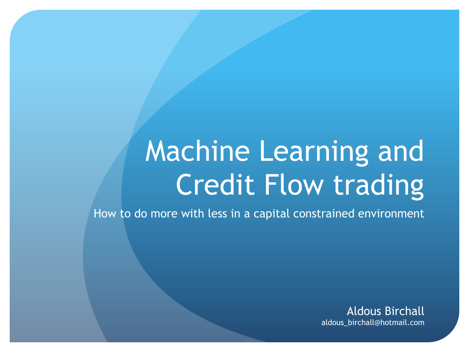# Machine Learning and Credit Flow trading

How to do more with less in a capital constrained environment

Aldous Birchall aldous\_birchall@hotmail.com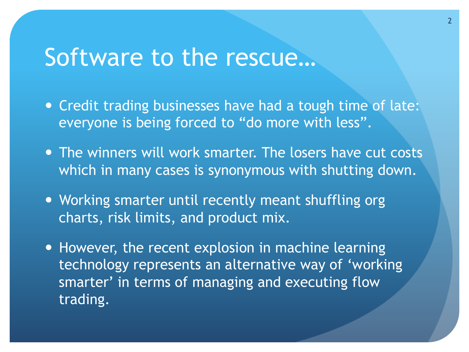### Software to the rescue…

- Credit trading businesses have had a tough time of late: everyone is being forced to "do more with less".
- The winners will work smarter. The losers have cut costs which in many cases is synonymous with shutting down.
- Working smarter until recently meant shuffling org charts, risk limits, and product mix.
- However, the recent explosion in machine learning technology represents an alternative way of 'working smarter' in terms of managing and executing flow trading.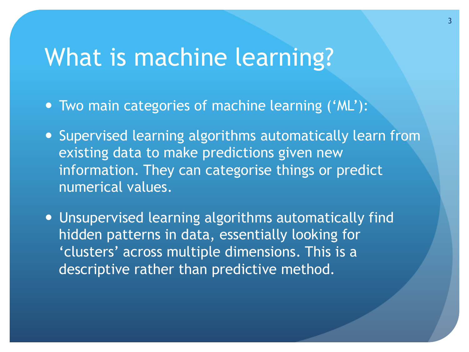### What is machine learning?

- Two main categories of machine learning ('ML'):
- Supervised learning algorithms automatically learn from existing data to make predictions given new information. They can categorise things or predict numerical values.
- Unsupervised learning algorithms automatically find hidden patterns in data, essentially looking for 'clusters' across multiple dimensions. This is a descriptive rather than predictive method.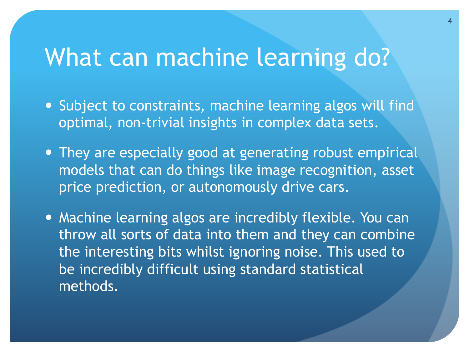### What can machine learning do?

- Subject to constraints, machine learning algos will find optimal, non-trivial insights in complex data sets.
- They are especially good at generating robust empirical models that can do things like image recognition, asset price prediction, or autonomously drive cars.
- Machine learning algos are incredibly flexible. You can throw all sorts of data into them and they can combine the interesting bits whilst ignoring noise. This used to be incredibly difficult using standard statistical methods.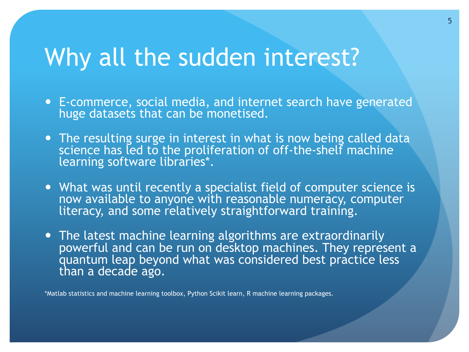### Why all the sudden interest?

- ! E-commerce, social media, and internet search have generated huge datasets that can be monetised.
- The resulting surge in interest in what is now being called data science has led to the proliferation of off-the-shelf machine learning software libraries\*.
- What was until recently a specialist field of computer science is now available to anyone with reasonable numeracy, computer literacy, and some relatively straightforward training.
- The latest machine learning algorithms are extraordinarily powerful and can be run on desktop machines. They represent a quantum leap beyond what was considered best practice less than a decade ago.

\*Matlab statistics and machine learning toolbox, Python Scikit learn, R machine learning packages.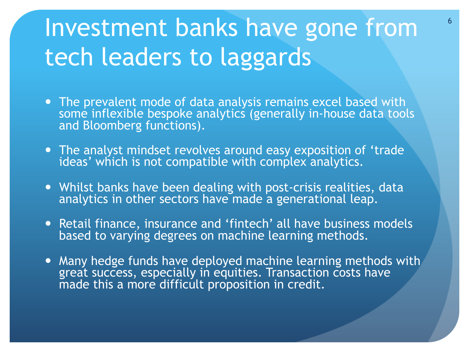# Investment banks have gone from tech leaders to laggards

- . The prevalent mode of data analysis remains excel based with some inflexible bespoke analytics (generally in-house data tools and Bloomberg functions).
- . The analyst mindset revolves around easy exposition of 'trade ideas' which is not compatible with complex analytics.
- ! Whilst banks have been dealing with post-crisis realities, data analytics in other sectors have made a generational leap.
- Retail finance, insurance and 'fintech' all have business models based to varying degrees on machine learning methods.
- . Many hedge funds have deployed machine learning methods with great success, especially in equities. Transaction costs have made this a more difficult proposition in credit.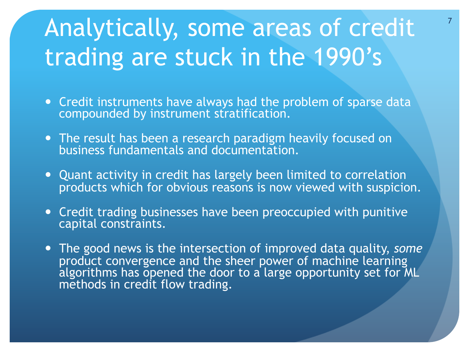# Analytically, some areas of credit trading are stuck in the 1990's

- Credit instruments have always had the problem of sparse data compounded by instrument stratification.
- The result has been a research paradigm heavily focused on business fundamentals and documentation.
- Quant activity in credit has largely been limited to correlation products which for obvious reasons is now viewed with suspicion.
- Credit trading businesses have been preoccupied with punitive capital constraints.
- ! The good news is the intersection of improved data quality, *some* product convergence and the sheer power of machine learning algorithms has opened the door to a large opportunity set for ML methods in credit flow trading.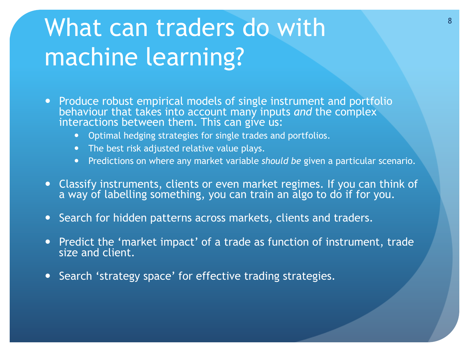# What can traders do with machine learning?

- Produce robust empirical models of single instrument and portfolio behaviour that takes into account many inputs *and* the complex interactions between them. This can give  $us:$ 
	- **•** Optimal hedging strategies for single trades and portfolios.
	- . The best risk adjusted relative value plays.
	- ! Predictions on where any market variable *should be* given a particular scenario.
- ! Classify instruments, clients or even market regimes. If you can think of a way of labelling something, you can train an algo to do if for you.
- **.** Search for hidden patterns across markets, clients and traders.
- Predict the 'market impact' of a trade as function of instrument, trade size and client.
- . Search 'strategy space' for effective trading strategies.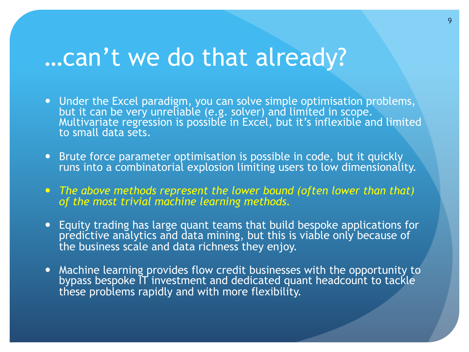### …can't we do that already?

- Under the Excel paradigm, you can solve simple optimisation problems, but it can be very unreliable (e.g. solver) and limited in scope. Multivariate regression is possible in Excel, but it's inflexible and limited to small data sets.
- Brute force parameter optimisation is possible in code, but it quickly runs into a combinatorial explosion limiting users to low dimensionality.
- ! *The above methods represent the lower bound (often lower than that) of the most trivial machine learning methods.*
- ! Equity trading has large quant teams that build bespoke applications for predictive analytics and data mining, but this is viable only because of the business scale and data richness they enjoy.
- . Machine learning provides flow credit businesses with the opportunity to bypass bespoke IT investment and dedicated quant headcount to tackle these problems rapidly and with more flexibility.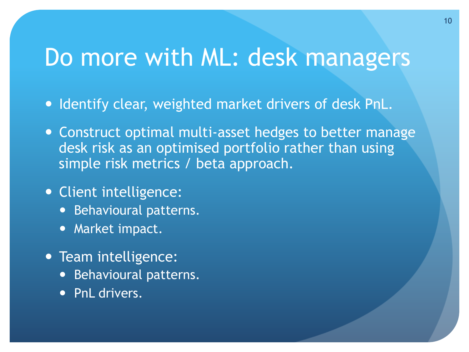### Do more with ML: desk managers

- . Identify clear, weighted market drivers of desk PnL.
- Construct optimal multi-asset hedges to better manage desk risk as an optimised portfolio rather than using simple risk metrics / beta approach.
- Client intelligence:
	- **•** Behavioural patterns.
	- Market impact.
- Team intelligence:
	- **•** Behavioural patterns.
	- PnL drivers.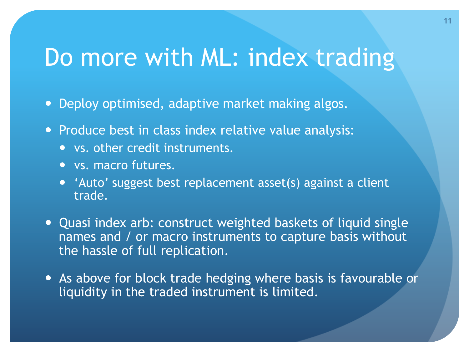### Do more with ML: index trading

- Deploy optimised, adaptive market making algos.
- Produce best in class index relative value analysis:
	- vs. other credit instruments.
	- vs. macro futures.
	- 'Auto' suggest best replacement asset(s) against a client trade.
- Quasi index arb: construct weighted baskets of liquid single names and / or macro instruments to capture basis without the hassle of full replication.
- . As above for block trade hedging where basis is favourable or liquidity in the traded instrument is limited.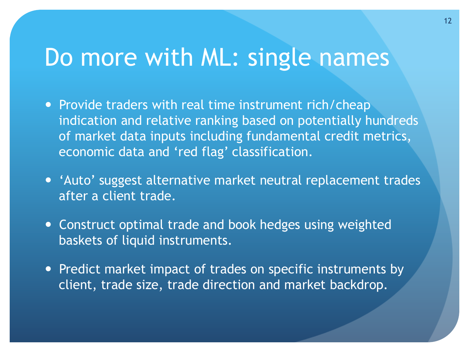### Do more with ML: single names

- Provide traders with real time instrument rich/cheap indication and relative ranking based on potentially hundreds of market data inputs including fundamental credit metrics, economic data and 'red flag' classification.
- 'Auto' suggest alternative market neutral replacement trades after a client trade.
- Construct optimal trade and book hedges using weighted baskets of liquid instruments.
- Predict market impact of trades on specific instruments by client, trade size, trade direction and market backdrop.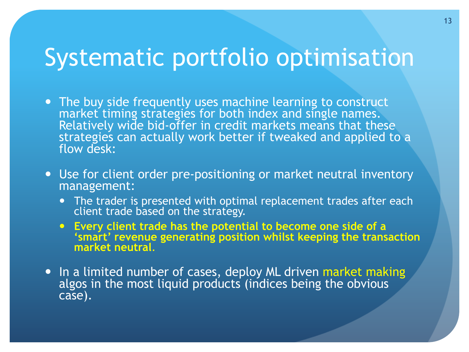### Systematic portfolio optimisation

- The buy side frequently uses machine learning to construct market timing strategies for both index and single names. Relatively wide bid-offer in credit markets means that these strategies can actually work better if tweaked and applied to a flow desk:
- Use for client order pre-positioning or market neutral inventory management:
	- The trader is presented with optimal replacement trades after each client trade based on the strategy.
	- ! **Every client trade has the potential to become one side of a 'smart' revenue generating position whilst keeping the transaction market neutral**.
- In a limited number of cases, deploy ML driven market making algos in the most liquid products (indices being the obvious case).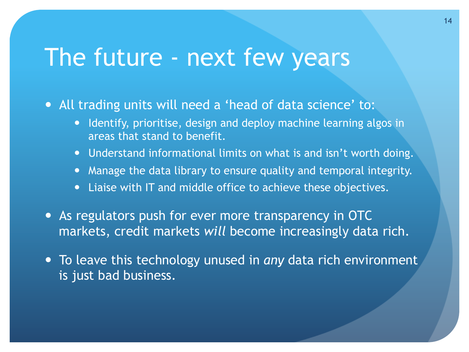#### The future - next few years

• All trading units will need a 'head of data science' to:

- **•** Identify, prioritise, design and deploy machine learning algos in areas that stand to benefit.
- Understand informational limits on what is and isn't worth doing.
- Manage the data library to ensure quality and temporal integrity.
- Liaise with IT and middle office to achieve these objectives.
- As regulators push for ever more transparency in OTC markets, credit markets *will* become increasingly data rich.
- ! To leave this technology unused in *any* data rich environment is just bad business.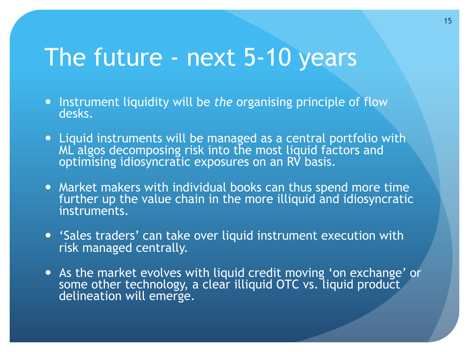### The future - next 5-10 years

- ! Instrument liquidity will be *the* organising principle of flow desks.
- Liquid instruments will be managed as a central portfolio with ML algos decomposing risk into the most liquid factors and optimising idiosyncratic exposures on an RV basis.
- Market makers with individual books can thus spend more time further up the value chain in the more illiquid and idiosyncratic instruments.
- ! 'Sales traders' can take over liquid instrument execution with risk managed centrally.
- . As the market evolves with liquid credit moving 'on exchange' or some other technology, a clear illiquid OTC vs. liquid product delineation will emerge.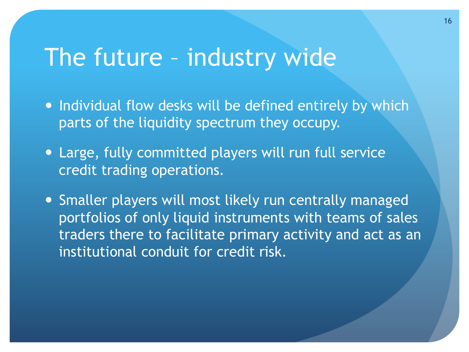### The future – industry wide

- Individual flow desks will be defined entirely by which parts of the liquidity spectrum they occupy.
- Large, fully committed players will run full service credit trading operations.
- Smaller players will most likely run centrally managed portfolios of only liquid instruments with teams of sales traders there to facilitate primary activity and act as an institutional conduit for credit risk.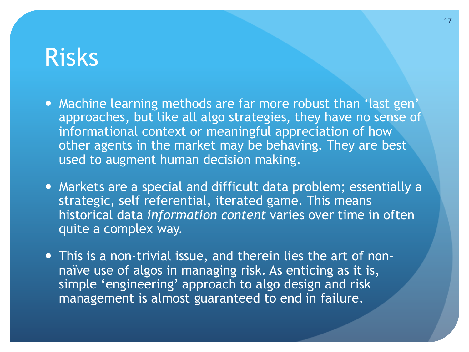#### Risks

- Machine learning methods are far more robust than 'last gen' approaches, but like all algo strategies, they have no sense of informational context or meaningful appreciation of how other agents in the market may be behaving. They are best used to augment human decision making.
- Markets are a special and difficult data problem; essentially a strategic, self referential, iterated game. This means historical data *information content* varies over time in often quite a complex way.
- This is a non-trivial issue, and therein lies the art of nonnaïve use of algos in managing risk. As enticing as it is, simple 'engineering' approach to algo design and risk management is almost guaranteed to end in failure.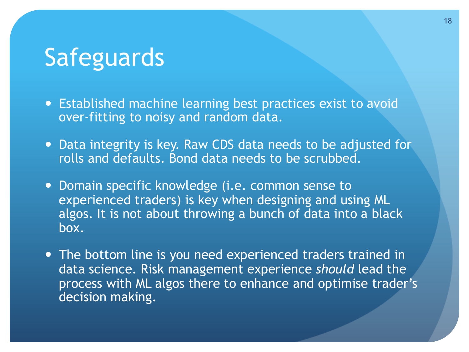### Safeguards

- Established machine learning best practices exist to avoid over-fitting to noisy and random data.
- Data integrity is key. Raw CDS data needs to be adjusted for rolls and defaults. Bond data needs to be scrubbed.
- Domain specific knowledge (i.e. common sense to experienced traders) is key when designing and using ML algos. It is not about throwing a bunch of data into a black box.
- The bottom line is you need experienced traders trained in data science. Risk management experience *should* lead the process with ML algos there to enhance and optimise trader's decision making.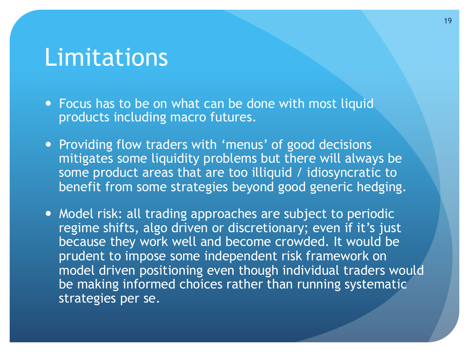#### Limitations

- Focus has to be on what can be done with most liquid products including macro futures.
- Providing flow traders with 'menus' of good decisions mitigates some liquidity problems but there will always be some product areas that are too illiquid / idiosyncratic to benefit from some strategies beyond good generic hedging.
- . Model risk: all trading approaches are subject to periodic regime shifts, algo driven or discretionary; even if it's just because they work well and become crowded. It would be prudent to impose some independent risk framework on model driven positioning even though individual traders would be making informed choices rather than running systematic strategies per se.